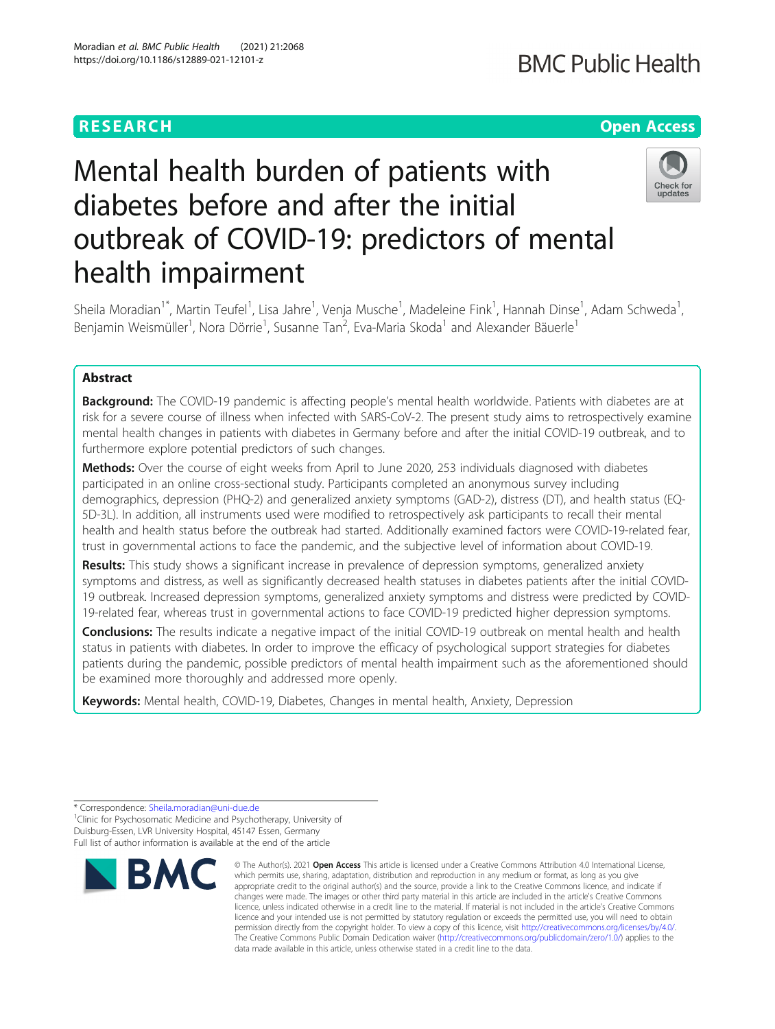# RESEARCH **RESEARCH CONSUMING THE CONSUMING THE CONSUMING THE CONSUMING TEAM CONSUMING THE CONSUMING TEAM CONSUMING THE CONSUMING TEAM OPEN ACCESS**

# Mental health burden of patients with diabetes before and after the initial outbreak of COVID-19: predictors of mental health impairment



Sheila Moradian<sup>1\*</sup>, Martin Teufel<sup>1</sup>, Lisa Jahre<sup>1</sup>, Venja Musche<sup>1</sup>, Madeleine Fink<sup>1</sup>, Hannah Dinse<sup>1</sup>, Adam Schweda<sup>1</sup> , Benjamin Weismüller<sup>1</sup>, Nora Dörrie<sup>1</sup>, Susanne Tan<sup>2</sup>, Eva-Maria Skoda<sup>1</sup> and Alexander Bäuerle<sup>1</sup>

# Abstract

**Background:** The COVID-19 pandemic is affecting people's mental health worldwide. Patients with diabetes are at risk for a severe course of illness when infected with SARS-CoV-2. The present study aims to retrospectively examine mental health changes in patients with diabetes in Germany before and after the initial COVID-19 outbreak, and to furthermore explore potential predictors of such changes.

Methods: Over the course of eight weeks from April to June 2020, 253 individuals diagnosed with diabetes participated in an online cross-sectional study. Participants completed an anonymous survey including demographics, depression (PHQ-2) and generalized anxiety symptoms (GAD-2), distress (DT), and health status (EQ-5D-3L). In addition, all instruments used were modified to retrospectively ask participants to recall their mental health and health status before the outbreak had started. Additionally examined factors were COVID-19-related fear, trust in governmental actions to face the pandemic, and the subjective level of information about COVID-19.

Results: This study shows a significant increase in prevalence of depression symptoms, generalized anxiety symptoms and distress, as well as significantly decreased health statuses in diabetes patients after the initial COVID-19 outbreak. Increased depression symptoms, generalized anxiety symptoms and distress were predicted by COVID-19-related fear, whereas trust in governmental actions to face COVID-19 predicted higher depression symptoms.

Conclusions: The results indicate a negative impact of the initial COVID-19 outbreak on mental health and health status in patients with diabetes. In order to improve the efficacy of psychological support strategies for diabetes patients during the pandemic, possible predictors of mental health impairment such as the aforementioned should be examined more thoroughly and addressed more openly.

Keywords: Mental health, COVID-19, Diabetes, Changes in mental health, Anxiety, Depression

<sup>1</sup>Clinic for Psychosomatic Medicine and Psychotherapy, University of Duisburg-Essen, LVR University Hospital, 45147 Essen, Germany Full list of author information is available at the end of the article



<sup>©</sup> The Author(s), 2021 **Open Access** This article is licensed under a Creative Commons Attribution 4.0 International License, which permits use, sharing, adaptation, distribution and reproduction in any medium or format, as long as you give appropriate credit to the original author(s) and the source, provide a link to the Creative Commons licence, and indicate if changes were made. The images or other third party material in this article are included in the article's Creative Commons licence, unless indicated otherwise in a credit line to the material. If material is not included in the article's Creative Commons licence and your intended use is not permitted by statutory regulation or exceeds the permitted use, you will need to obtain permission directly from the copyright holder. To view a copy of this licence, visit [http://creativecommons.org/licenses/by/4.0/.](http://creativecommons.org/licenses/by/4.0/) The Creative Commons Public Domain Dedication waiver [\(http://creativecommons.org/publicdomain/zero/1.0/](http://creativecommons.org/publicdomain/zero/1.0/)) applies to the data made available in this article, unless otherwise stated in a credit line to the data.

<sup>\*</sup> Correspondence: [Sheila.moradian@uni-due.de](mailto:Sheila.moradian@uni-due.de) <sup>1</sup>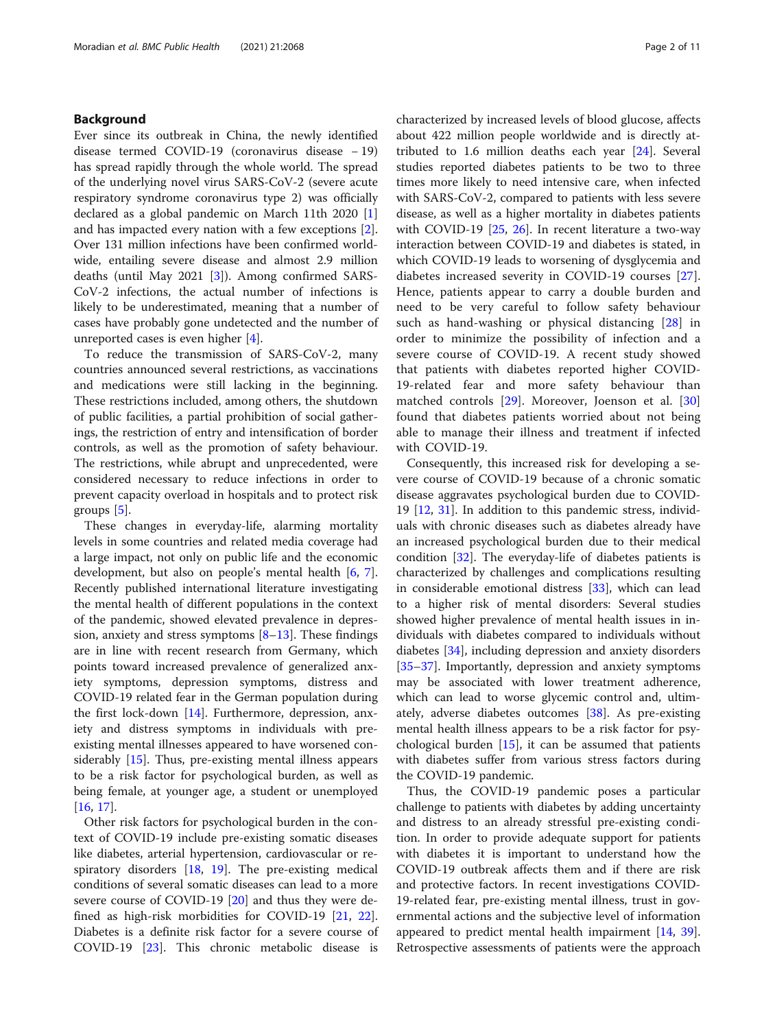# Background

Ever since its outbreak in China, the newly identified disease termed COVID-19 (coronavirus disease − 19) has spread rapidly through the whole world. The spread of the underlying novel virus SARS-CoV-2 (severe acute respiratory syndrome coronavirus type 2) was officially declared as a global pandemic on March 11th 2020 [\[1](#page-8-0)] and has impacted every nation with a few exceptions [\[2](#page-8-0)]. Over 131 million infections have been confirmed worldwide, entailing severe disease and almost 2.9 million deaths (until May 2021 [\[3](#page-8-0)]). Among confirmed SARS-CoV-2 infections, the actual number of infections is likely to be underestimated, meaning that a number of cases have probably gone undetected and the number of unreported cases is even higher [[4\]](#page-8-0).

To reduce the transmission of SARS-CoV-2, many countries announced several restrictions, as vaccinations and medications were still lacking in the beginning. These restrictions included, among others, the shutdown of public facilities, a partial prohibition of social gatherings, the restriction of entry and intensification of border controls, as well as the promotion of safety behaviour. The restrictions, while abrupt and unprecedented, were considered necessary to reduce infections in order to prevent capacity overload in hospitals and to protect risk groups [[5\]](#page-8-0).

These changes in everyday-life, alarming mortality levels in some countries and related media coverage had a large impact, not only on public life and the economic development, but also on people's mental health [\[6](#page-8-0), [7](#page-8-0)]. Recently published international literature investigating the mental health of different populations in the context of the pandemic, showed elevated prevalence in depression, anxiety and stress symptoms  $[8-13]$  $[8-13]$  $[8-13]$  $[8-13]$ . These findings are in line with recent research from Germany, which points toward increased prevalence of generalized anxiety symptoms, depression symptoms, distress and COVID-19 related fear in the German population during the first lock-down [[14](#page-9-0)]. Furthermore, depression, anxiety and distress symptoms in individuals with preexisting mental illnesses appeared to have worsened considerably [[15\]](#page-9-0). Thus, pre-existing mental illness appears to be a risk factor for psychological burden, as well as being female, at younger age, a student or unemployed [[16,](#page-9-0) [17\]](#page-9-0).

Other risk factors for psychological burden in the context of COVID-19 include pre-existing somatic diseases like diabetes, arterial hypertension, cardiovascular or respiratory disorders [[18](#page-9-0), [19](#page-9-0)]. The pre-existing medical conditions of several somatic diseases can lead to a more severe course of COVID-19 [\[20\]](#page-9-0) and thus they were defined as high-risk morbidities for COVID-19 [\[21](#page-9-0), [22](#page-9-0)]. Diabetes is a definite risk factor for a severe course of COVID-19 [[23](#page-9-0)]. This chronic metabolic disease is characterized by increased levels of blood glucose, affects about 422 million people worldwide and is directly attributed to 1.6 million deaths each year [\[24\]](#page-9-0). Several studies reported diabetes patients to be two to three times more likely to need intensive care, when infected with SARS-CoV-2, compared to patients with less severe disease, as well as a higher mortality in diabetes patients with COVID-19 [\[25](#page-9-0), [26\]](#page-9-0). In recent literature a two-way interaction between COVID-19 and diabetes is stated, in which COVID-19 leads to worsening of dysglycemia and diabetes increased severity in COVID-19 courses [\[27](#page-9-0)]. Hence, patients appear to carry a double burden and need to be very careful to follow safety behaviour such as hand-washing or physical distancing [[28\]](#page-9-0) in order to minimize the possibility of infection and a severe course of COVID-19. A recent study showed that patients with diabetes reported higher COVID-19-related fear and more safety behaviour than matched controls [[29\]](#page-9-0). Moreover, Joenson et al. [\[30](#page-9-0)] found that diabetes patients worried about not being able to manage their illness and treatment if infected with COVID-19.

Consequently, this increased risk for developing a severe course of COVID-19 because of a chronic somatic disease aggravates psychological burden due to COVID-19 [\[12](#page-9-0), [31\]](#page-9-0). In addition to this pandemic stress, individuals with chronic diseases such as diabetes already have an increased psychological burden due to their medical condition [\[32\]](#page-9-0). The everyday-life of diabetes patients is characterized by challenges and complications resulting in considerable emotional distress [\[33](#page-9-0)], which can lead to a higher risk of mental disorders: Several studies showed higher prevalence of mental health issues in individuals with diabetes compared to individuals without diabetes [\[34\]](#page-9-0), including depression and anxiety disorders [[35](#page-9-0)–[37](#page-9-0)]. Importantly, depression and anxiety symptoms may be associated with lower treatment adherence, which can lead to worse glycemic control and, ultimately, adverse diabetes outcomes [[38](#page-9-0)]. As pre-existing mental health illness appears to be a risk factor for psychological burden  $[15]$  $[15]$ , it can be assumed that patients with diabetes suffer from various stress factors during the COVID-19 pandemic.

Thus, the COVID-19 pandemic poses a particular challenge to patients with diabetes by adding uncertainty and distress to an already stressful pre-existing condition. In order to provide adequate support for patients with diabetes it is important to understand how the COVID-19 outbreak affects them and if there are risk and protective factors. In recent investigations COVID-19-related fear, pre-existing mental illness, trust in governmental actions and the subjective level of information appeared to predict mental health impairment [\[14](#page-9-0), [39](#page-9-0)]. Retrospective assessments of patients were the approach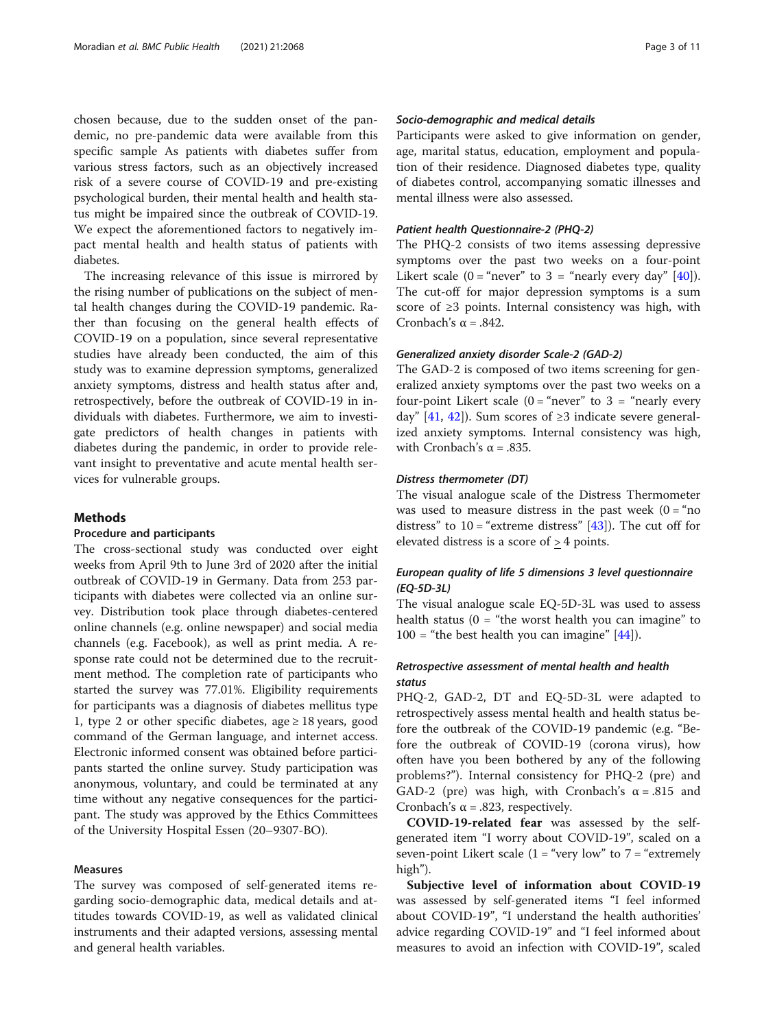chosen because, due to the sudden onset of the pandemic, no pre-pandemic data were available from this specific sample As patients with diabetes suffer from various stress factors, such as an objectively increased risk of a severe course of COVID-19 and pre-existing psychological burden, their mental health and health status might be impaired since the outbreak of COVID-19. We expect the aforementioned factors to negatively impact mental health and health status of patients with diabetes.

The increasing relevance of this issue is mirrored by the rising number of publications on the subject of mental health changes during the COVID-19 pandemic. Rather than focusing on the general health effects of COVID-19 on a population, since several representative studies have already been conducted, the aim of this study was to examine depression symptoms, generalized anxiety symptoms, distress and health status after and, retrospectively, before the outbreak of COVID-19 in individuals with diabetes. Furthermore, we aim to investigate predictors of health changes in patients with diabetes during the pandemic, in order to provide relevant insight to preventative and acute mental health services for vulnerable groups.

# Methods

# Procedure and participants

The cross-sectional study was conducted over eight weeks from April 9th to June 3rd of 2020 after the initial outbreak of COVID-19 in Germany. Data from 253 participants with diabetes were collected via an online survey. Distribution took place through diabetes-centered online channels (e.g. online newspaper) and social media channels (e.g. Facebook), as well as print media. A response rate could not be determined due to the recruitment method. The completion rate of participants who started the survey was 77.01%. Eligibility requirements for participants was a diagnosis of diabetes mellitus type 1, type 2 or other specific diabetes, age  $\geq 18$  years, good command of the German language, and internet access. Electronic informed consent was obtained before participants started the online survey. Study participation was anonymous, voluntary, and could be terminated at any time without any negative consequences for the participant. The study was approved by the Ethics Committees of the University Hospital Essen (20–9307-BO).

# Measures

The survey was composed of self-generated items regarding socio-demographic data, medical details and attitudes towards COVID-19, as well as validated clinical instruments and their adapted versions, assessing mental and general health variables.

# Socio-demographic and medical details

Participants were asked to give information on gender, age, marital status, education, employment and population of their residence. Diagnosed diabetes type, quality of diabetes control, accompanying somatic illnesses and mental illness were also assessed.

# Patient health Questionnaire-2 (PHQ-2)

The PHQ-2 consists of two items assessing depressive symptoms over the past two weeks on a four-point Likert scale  $(0 = "never"$  to  $3 = "nearly every day" [40]).$  $3 = "nearly every day" [40]).$  $3 = "nearly every day" [40]).$ The cut-off for major depression symptoms is a sum score of ≥3 points. Internal consistency was high, with Cronbach's  $\alpha = .842$ .

# Generalized anxiety disorder Scale-2 (GAD-2)

The GAD-2 is composed of two items screening for generalized anxiety symptoms over the past two weeks on a four-point Likert scale  $(0 = "never"$  to  $3 = "nearly every$ day" [[41,](#page-9-0) [42](#page-9-0)]). Sum scores of  $\geq$ 3 indicate severe generalized anxiety symptoms. Internal consistency was high, with Cronbach's  $\alpha$  = .835.

# Distress thermometer (DT)

The visual analogue scale of the Distress Thermometer was used to measure distress in the past week  $(0 = "no$ distress" to  $10 =$ "extreme distress" [\[43](#page-9-0)]). The cut off for elevated distress is a score of > 4 points.

# European quality of life 5 dimensions 3 level questionnaire (EQ-5D-3L)

The visual analogue scale EQ-5D-3L was used to assess health status ( $0 =$  "the worst health you can imagine" to  $100 =$  "the best health you can imagine" [[44\]](#page-9-0)).

# Retrospective assessment of mental health and health status

PHQ-2, GAD-2, DT and EQ-5D-3L were adapted to retrospectively assess mental health and health status before the outbreak of the COVID-19 pandemic (e.g. "Before the outbreak of COVID-19 (corona virus), how often have you been bothered by any of the following problems?"). Internal consistency for PHQ-2 (pre) and GAD-2 (pre) was high, with Cronbach's  $\alpha = .815$  and Cronbach's  $\alpha$  = .823, respectively.

COVID-19-related fear was assessed by the selfgenerated item "I worry about COVID-19", scaled on a seven-point Likert scale  $(1 = "very low" to 7 = "extremely$ high").

Subjective level of information about COVID-19 was assessed by self-generated items "I feel informed about COVID-19", "I understand the health authorities' advice regarding COVID-19" and "I feel informed about measures to avoid an infection with COVID-19", scaled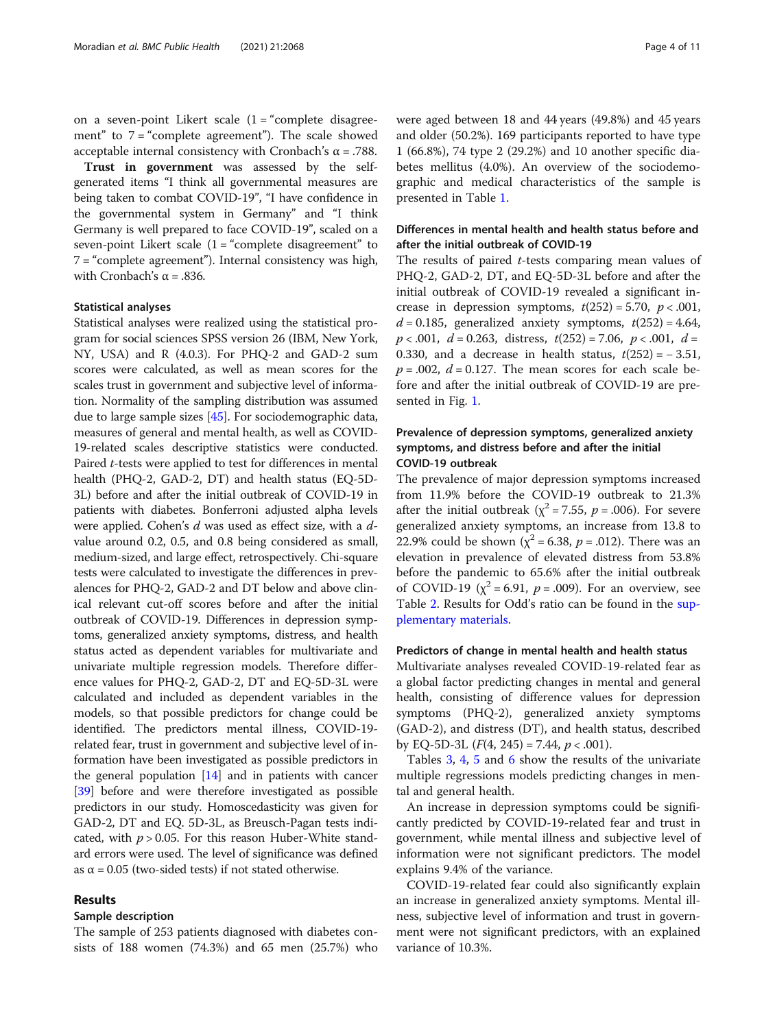on a seven-point Likert scale  $(1 - \text{``complete}})$  disagreement" to 7 = "complete agreement"). The scale showed acceptable internal consistency with Cronbach's α = .788.

Trust in government was assessed by the selfgenerated items "I think all governmental measures are being taken to combat COVID-19", "I have confidence in the governmental system in Germany" and "I think Germany is well prepared to face COVID-19", scaled on a seven-point Likert scale  $(1 -$ "complete disagreement" to 7 = "complete agreement"). Internal consistency was high, with Cronbach's  $\alpha$  = .836.

#### Statistical analyses

Statistical analyses were realized using the statistical program for social sciences SPSS version 26 (IBM, New York, NY, USA) and R (4.0.3). For PHQ-2 and GAD-2 sum scores were calculated, as well as mean scores for the scales trust in government and subjective level of information. Normality of the sampling distribution was assumed due to large sample sizes [\[45\]](#page-9-0). For sociodemographic data, measures of general and mental health, as well as COVID-19-related scales descriptive statistics were conducted. Paired *t*-tests were applied to test for differences in mental health (PHQ-2, GAD-2, DT) and health status (EQ-5D-3L) before and after the initial outbreak of COVID-19 in patients with diabetes. Bonferroni adjusted alpha levels were applied. Cohen's d was used as effect size, with a dvalue around 0.2, 0.5, and 0.8 being considered as small, medium-sized, and large effect, retrospectively. Chi-square tests were calculated to investigate the differences in prevalences for PHQ-2, GAD-2 and DT below and above clinical relevant cut-off scores before and after the initial outbreak of COVID-19. Differences in depression symptoms, generalized anxiety symptoms, distress, and health status acted as dependent variables for multivariate and univariate multiple regression models. Therefore difference values for PHQ-2, GAD-2, DT and EQ-5D-3L were calculated and included as dependent variables in the models, so that possible predictors for change could be identified. The predictors mental illness, COVID-19 related fear, trust in government and subjective level of information have been investigated as possible predictors in the general population [[14](#page-9-0)] and in patients with cancer [[39](#page-9-0)] before and were therefore investigated as possible predictors in our study. Homoscedasticity was given for GAD-2, DT and EQ. 5D-3L, as Breusch-Pagan tests indicated, with  $p > 0.05$ . For this reason Huber-White standard errors were used. The level of significance was defined as  $\alpha$  = 0.05 (two-sided tests) if not stated otherwise.

# Results

# Sample description

The sample of 253 patients diagnosed with diabetes consists of 188 women (74.3%) and 65 men (25.7%) who were aged between 18 and 44 years (49.8%) and 45 years and older (50.2%). 169 participants reported to have type 1 (66.8%), 74 type 2 (29.2%) and 10 another specific diabetes mellitus (4.0%). An overview of the sociodemographic and medical characteristics of the sample is presented in Table [1](#page-4-0).

# Differences in mental health and health status before and after the initial outbreak of COVID-19

The results of paired  $t$ -tests comparing mean values of PHQ-2, GAD-2, DT, and EQ-5D-3L before and after the initial outbreak of COVID-19 revealed a significant increase in depression symptoms,  $t(252) = 5.70$ ,  $p < .001$ ,  $d = 0.185$ , generalized anxiety symptoms,  $t(252) = 4.64$ ,  $p < .001, d = 0.263,$  distress,  $t(252) = 7.06, p < .001, d =$ 0.330, and a decrease in health status,  $t(252) = -3.51$ ,  $p = .002$ ,  $d = 0.127$ . The mean scores for each scale before and after the initial outbreak of COVID-19 are presented in Fig. [1](#page-5-0).

# Prevalence of depression symptoms, generalized anxiety symptoms, and distress before and after the initial COVID-19 outbreak

The prevalence of major depression symptoms increased from 11.9% before the COVID-19 outbreak to 21.3% after the initial outbreak ( $\chi^2$  = 7.55,  $p$  = .006). For severe generalized anxiety symptoms, an increase from 13.8 to 22.9% could be shown ( $\chi^2$  = 6.38, p = .012). There was an elevation in prevalence of elevated distress from 53.8% before the pandemic to 65.6% after the initial outbreak of COVID-19 ( $\chi^2$  = 6.91,  $p$  = .009). For an overview, see Table [2.](#page-6-0) Results for Odd's ratio can be found in the [sup](#page-8-0)[plementary materials.](#page-8-0)

# Predictors of change in mental health and health status

Multivariate analyses revealed COVID-19-related fear as a global factor predicting changes in mental and general health, consisting of difference values for depression symptoms (PHQ-2), generalized anxiety symptoms (GAD-2), and distress (DT), and health status, described by EQ-5D-3L  $(F(4, 245) = 7.44, p < .001)$ .

Tables [3,](#page-6-0) [4](#page-6-0), [5](#page-7-0) and [6](#page-7-0) show the results of the univariate multiple regressions models predicting changes in mental and general health.

An increase in depression symptoms could be significantly predicted by COVID-19-related fear and trust in government, while mental illness and subjective level of information were not significant predictors. The model explains 9.4% of the variance.

COVID-19-related fear could also significantly explain an increase in generalized anxiety symptoms. Mental illness, subjective level of information and trust in government were not significant predictors, with an explained variance of 10.3%.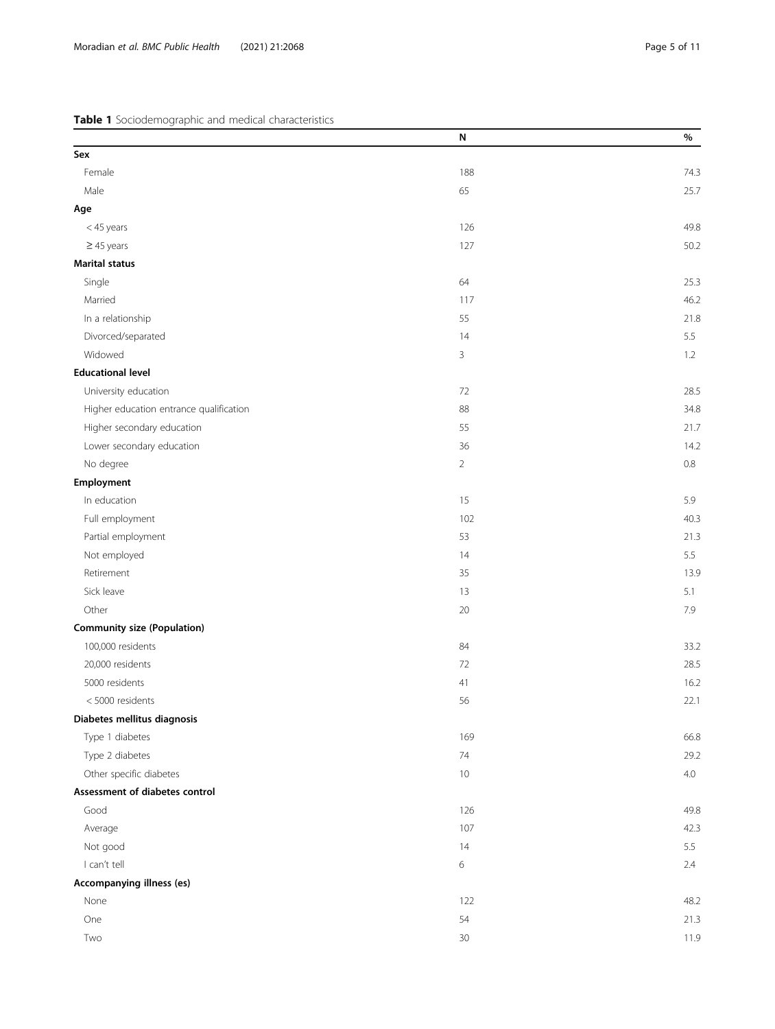<span id="page-4-0"></span>Table 1 Sociodemographic and medical characteristics

|                                         | N              | $\%$ |
|-----------------------------------------|----------------|------|
| Sex                                     |                |      |
| Female                                  | 188            | 74.3 |
| Male                                    | 65             | 25.7 |
| Age                                     |                |      |
| <45 years                               | 126            | 49.8 |
| $\geq$ 45 years                         | 127            | 50.2 |
| <b>Marital status</b>                   |                |      |
| Single                                  | 64             | 25.3 |
| Married                                 | 117            | 46.2 |
| In a relationship                       | 55             | 21.8 |
| Divorced/separated                      | 14             | 5.5  |
| Widowed                                 | 3              | 1.2  |
| <b>Educational level</b>                |                |      |
| University education                    | 72             | 28.5 |
| Higher education entrance qualification | 88             | 34.8 |
| Higher secondary education              | 55             | 21.7 |
| Lower secondary education               | 36             | 14.2 |
| No degree                               | $\overline{2}$ | 0.8  |
| Employment                              |                |      |
| In education                            | 15             | 5.9  |
| Full employment                         | 102            | 40.3 |
| Partial employment                      | 53             | 21.3 |
| Not employed                            | 14             | 5.5  |
| Retirement                              | 35             | 13.9 |
| Sick leave                              | 13             | 5.1  |
| Other                                   | 20             | 7.9  |
| <b>Community size (Population)</b>      |                |      |
| 100,000 residents                       | 84             | 33.2 |
| 20,000 residents                        | 72             | 28.5 |
| 5000 residents                          | 41             | 16.2 |
| <5000 residents                         | 56             | 22.1 |
| Diabetes mellitus diagnosis             |                |      |
| Type 1 diabetes                         | 169            | 66.8 |
| Type 2 diabetes                         | $74\,$         | 29.2 |
| Other specific diabetes                 | 10             | 4.0  |
| Assessment of diabetes control          |                |      |
| Good                                    | 126            | 49.8 |
| Average                                 | 107            | 42.3 |
| Not good                                | 14             | 5.5  |
| I can't tell                            | 6              | 2.4  |
| Accompanying illness (es)               |                |      |
| None                                    | 122            | 48.2 |
| One                                     | 54             | 21.3 |
| Two                                     | 30             | 11.9 |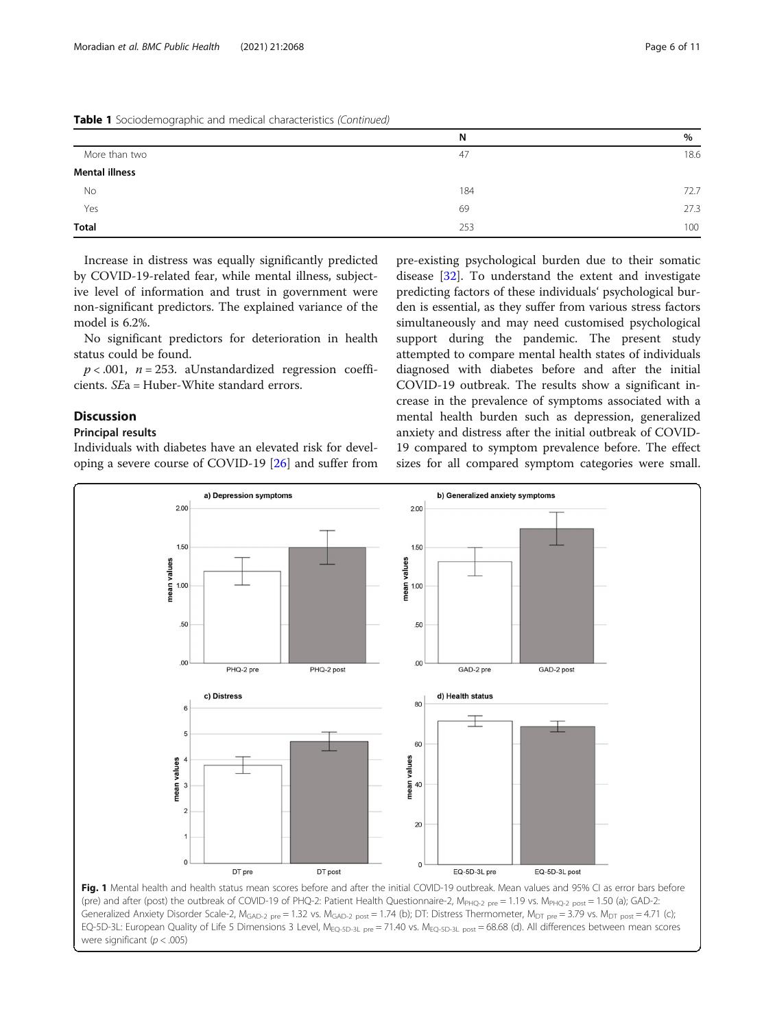<span id="page-5-0"></span>

|  |  |  |  | Table 1 Sociodemographic and medical characteristics (Continued) |  |
|--|--|--|--|------------------------------------------------------------------|--|
|--|--|--|--|------------------------------------------------------------------|--|

|                | N   | $\%$ |
|----------------|-----|------|
| More than two  | 47  | 18.6 |
| Mental illness |     |      |
| No             | 184 | 72.7 |
| Yes            | 69  | 27.3 |
| Total          | 253 | 100  |

Increase in distress was equally significantly predicted by COVID-19-related fear, while mental illness, subjective level of information and trust in government were non-significant predictors. The explained variance of the model is 6.2%.

No significant predictors for deterioration in health status could be found.

 $p < .001$ ,  $n = 253$ . aUnstandardized regression coefficients. SEa = Huber-White standard errors.

# Discussion

# Principal results

Individuals with diabetes have an elevated risk for developing a severe course of COVID-19 [[26](#page-9-0)] and suffer from

pre-existing psychological burden due to their somatic disease [\[32\]](#page-9-0). To understand the extent and investigate predicting factors of these individuals' psychological burden is essential, as they suffer from various stress factors simultaneously and may need customised psychological support during the pandemic. The present study attempted to compare mental health states of individuals diagnosed with diabetes before and after the initial COVID-19 outbreak. The results show a significant increase in the prevalence of symptoms associated with a mental health burden such as depression, generalized anxiety and distress after the initial outbreak of COVID-19 compared to symptom prevalence before. The effect sizes for all compared symptom categories were small.



Generalized Anxiety Disorder Scale-2,  $M_{\text{GAD-2 pre}} = 1.32$  vs.  $M_{\text{GAD-2 post}} = 1.74$  (b); DT: Distress Thermometer,  $M_{\text{DT pre}} = 3.79$  vs.  $M_{\text{DT post}} = 4.71$  (c); EQ-5D-3L: European Quality of Life 5 Dimensions 3 Level, M<sub>EQ-5D-3L pre</sub> = 71.40 vs. M<sub>EQ-5D-3L post</sub> = 68.68 (d). All differences between mean scores were significant ( $p < .005$ )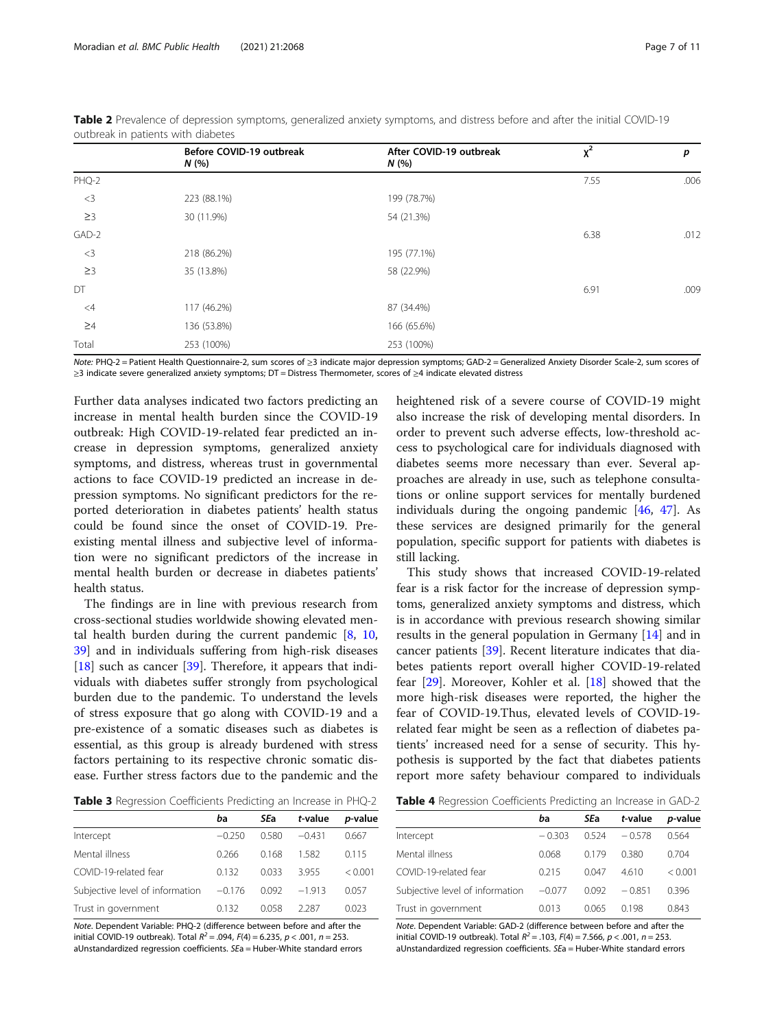|          | Before COVID-19 outbreak<br>N(% | After COVID-19 outbreak<br>N(% | $x^2$ | p    |
|----------|---------------------------------|--------------------------------|-------|------|
| PHQ-2    |                                 |                                | 7.55  | .006 |
| $<$ 3    | 223 (88.1%)                     | 199 (78.7%)                    |       |      |
| $\geq$ 3 | 30 (11.9%)                      | 54 (21.3%)                     |       |      |
| GAD-2    |                                 |                                | 6.38  | .012 |
| $<$ 3    | 218 (86.2%)                     | 195 (77.1%)                    |       |      |
| $\geq$ 3 | 35 (13.8%)                      | 58 (22.9%)                     |       |      |
| DT       |                                 |                                | 6.91  | .009 |
| $\leq 4$ | 117 (46.2%)                     | 87 (34.4%)                     |       |      |
| $\geq 4$ | 136 (53.8%)                     | 166 (65.6%)                    |       |      |
| Total    | 253 (100%)                      | 253 (100%)                     |       |      |

<span id="page-6-0"></span>Table 2 Prevalence of depression symptoms, generalized anxiety symptoms, and distress before and after the initial COVID-19 outbreak in patients with diabetes

Note: PHQ-2 = Patient Health Questionnaire-2, sum scores of ≥3 indicate major depression symptoms; GAD-2 = Generalized Anxiety Disorder Scale-2, sum scores of ≥3 indicate severe generalized anxiety symptoms; DT = Distress Thermometer, scores of ≥4 indicate elevated distress

Further data analyses indicated two factors predicting an increase in mental health burden since the COVID-19 outbreak: High COVID-19-related fear predicted an increase in depression symptoms, generalized anxiety symptoms, and distress, whereas trust in governmental actions to face COVID-19 predicted an increase in depression symptoms. No significant predictors for the reported deterioration in diabetes patients' health status could be found since the onset of COVID-19. Preexisting mental illness and subjective level of information were no significant predictors of the increase in mental health burden or decrease in diabetes patients' health status.

The findings are in line with previous research from cross-sectional studies worldwide showing elevated mental health burden during the current pandemic  $[8, 10, 10]$  $[8, 10, 10]$  $[8, 10, 10]$  $[8, 10, 10]$  $[8, 10, 10]$ [39\]](#page-9-0) and in individuals suffering from high-risk diseases [[18\]](#page-9-0) such as cancer [\[39](#page-9-0)]. Therefore, it appears that individuals with diabetes suffer strongly from psychological burden due to the pandemic. To understand the levels of stress exposure that go along with COVID-19 and a pre-existence of a somatic diseases such as diabetes is essential, as this group is already burdened with stress factors pertaining to its respective chronic somatic disease. Further stress factors due to the pandemic and the

Table 3 Regression Coefficients Predicting an Increase in PHQ-2

|                                 | ba       | SEa   | t-value  | <i>p</i> -value |
|---------------------------------|----------|-------|----------|-----------------|
| Intercept                       | $-0.250$ | O 580 | $-0.431$ | 0.667           |
| Mental illness                  | 0.266    | 0.168 | 1.582    | 0.115           |
| COVID-19-related fear           | 0.132    | 0.033 | 3955     | < 0.001         |
| Subjective level of information | $-0.176$ | 0.092 | $-1913$  | 0.057           |
| Trust in government             | 0.132    | 0.058 | 2287     | 0.023           |

Note. Dependent Variable: PHQ-2 (difference between before and after the initial COVID-19 outbreak). Total  $R^2 = .094$ .  $F(4) = 6.235$ .  $p < .001$ .  $n = 253$ . aUnstandardized regression coefficients. SEa = Huber-White standard errors

heightened risk of a severe course of COVID-19 might also increase the risk of developing mental disorders. In order to prevent such adverse effects, low-threshold access to psychological care for individuals diagnosed with diabetes seems more necessary than ever. Several approaches are already in use, such as telephone consultations or online support services for mentally burdened individuals during the ongoing pandemic [\[46](#page-9-0), [47](#page-9-0)]. As these services are designed primarily for the general population, specific support for patients with diabetes is still lacking.

This study shows that increased COVID-19-related fear is a risk factor for the increase of depression symptoms, generalized anxiety symptoms and distress, which is in accordance with previous research showing similar results in the general population in Germany [\[14](#page-9-0)] and in cancer patients [[39](#page-9-0)]. Recent literature indicates that diabetes patients report overall higher COVID-19-related fear [\[29](#page-9-0)]. Moreover, Kohler et al. [\[18](#page-9-0)] showed that the more high-risk diseases were reported, the higher the fear of COVID-19.Thus, elevated levels of COVID-19 related fear might be seen as a reflection of diabetes patients' increased need for a sense of security. This hypothesis is supported by the fact that diabetes patients report more safety behaviour compared to individuals

|                                 | ba       | <b>SEa</b> | t-value  | <i>p</i> -value |
|---------------------------------|----------|------------|----------|-----------------|
| Intercept                       | $-0.303$ | 0.524      | $-0.578$ | 0.564           |
| Mental illness                  | 0.068    | 0.179      | 0.380    | 0.704           |
| COVID-19-related fear           | 0.215    | 0.047      | 4.610    | < 0.001         |
| Subjective level of information | $-0.077$ | 0.092      | $-0.851$ | 0.396           |
| Trust in government             | 0.013    | 0.065      | 0.198    | 0.843           |

Note. Dependent Variable: GAD-2 (difference between before and after the initial COVID-19 outbreak). Total  $R^2 = 0.103$ ,  $F(4) = 7.566$ ,  $p < 0.01$ ,  $n = 253$ . aUnstandardized regression coefficients. SEa = Huber-White standard errors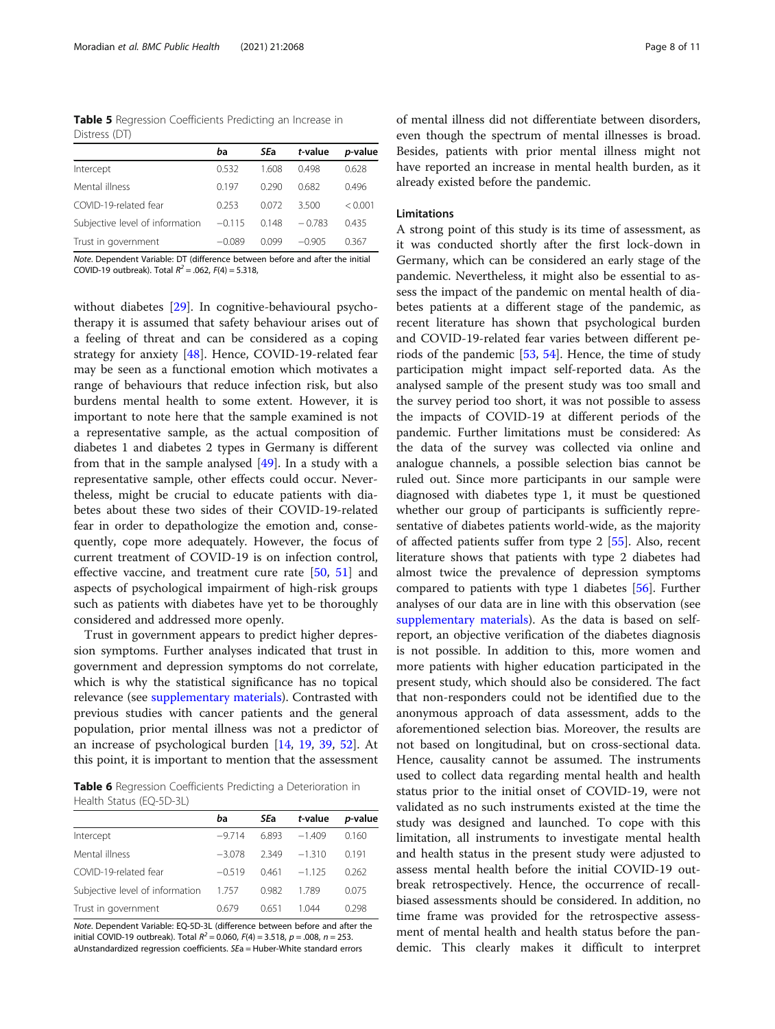<span id="page-7-0"></span>Table 5 Regression Coefficients Predicting an Increase in Distress (DT)

|                                 | ba       | SEa    | t-value  | <i>p</i> -value |
|---------------------------------|----------|--------|----------|-----------------|
| Intercept                       | 0.532    | 1.608  | 0498     | 0.628           |
| Mental illness                  | 0.197    | 0.290  | 0.682    | 0.496           |
| COVID-19-related fear           | 0253     | 0.072  | 3.500    | < 0.001         |
| Subjective level of information | $-0.115$ | 0.148  | $-0.783$ | 0.435           |
| Trust in government             | $-0.089$ | N V 00 | $-0.905$ | 0.367           |

Note. Dependent Variable: DT (difference between before and after the initial COVID-19 outbreak). Total  $R^2 = .062$ ,  $F(4) = 5.318$ ,

without diabetes [[29](#page-9-0)]. In cognitive-behavioural psychotherapy it is assumed that safety behaviour arises out of a feeling of threat and can be considered as a coping strategy for anxiety [[48\]](#page-9-0). Hence, COVID-19-related fear may be seen as a functional emotion which motivates a range of behaviours that reduce infection risk, but also burdens mental health to some extent. However, it is important to note here that the sample examined is not a representative sample, as the actual composition of diabetes 1 and diabetes 2 types in Germany is different from that in the sample analysed  $[49]$  $[49]$ . In a study with a representative sample, other effects could occur. Nevertheless, might be crucial to educate patients with diabetes about these two sides of their COVID-19-related fear in order to depathologize the emotion and, consequently, cope more adequately. However, the focus of current treatment of COVID-19 is on infection control, effective vaccine, and treatment cure rate [\[50](#page-9-0), [51\]](#page-9-0) and aspects of psychological impairment of high-risk groups such as patients with diabetes have yet to be thoroughly considered and addressed more openly.

Trust in government appears to predict higher depression symptoms. Further analyses indicated that trust in government and depression symptoms do not correlate, which is why the statistical significance has no topical relevance (see [supplementary materials\)](#page-8-0). Contrasted with previous studies with cancer patients and the general population, prior mental illness was not a predictor of an increase of psychological burden [[14,](#page-9-0) [19](#page-9-0), [39](#page-9-0), [52](#page-10-0)]. At this point, it is important to mention that the assessment

Table 6 Regression Coefficients Predicting a Deterioration in Health Status (EQ-5D-3L)

|                                 | ba       | SEa   | t-value  | <i>p</i> -value |
|---------------------------------|----------|-------|----------|-----------------|
| Intercept                       | $-9714$  | 6.893 | $-1.409$ | 0.160           |
| Mental illness                  | $-3078$  | 2349  | $-1,310$ | 0191            |
| COVID-19-related fear           | $-0.519$ | 0461  | $-1.125$ | 0.262           |
| Subjective level of information | 1.757    | 0.982 | 1789     | 0.075           |
| Trust in government             | 0.679    | 0.651 | 1 044    | 0.298           |

Note. Dependent Variable: EQ-5D-3L (difference between before and after the initial COVID-19 outbreak). Total  $R^2 = 0.060$ ,  $F(4) = 3.518$ ,  $p = .008$ ,  $n = 253$ . aUnstandardized regression coefficients. SEa = Huber-White standard errors

of mental illness did not differentiate between disorders, even though the spectrum of mental illnesses is broad. Besides, patients with prior mental illness might not have reported an increase in mental health burden, as it already existed before the pandemic.

# Limitations

A strong point of this study is its time of assessment, as it was conducted shortly after the first lock-down in Germany, which can be considered an early stage of the pandemic. Nevertheless, it might also be essential to assess the impact of the pandemic on mental health of diabetes patients at a different stage of the pandemic, as recent literature has shown that psychological burden and COVID-19-related fear varies between different periods of the pandemic [\[53,](#page-10-0) [54](#page-10-0)]. Hence, the time of study participation might impact self-reported data. As the analysed sample of the present study was too small and the survey period too short, it was not possible to assess the impacts of COVID-19 at different periods of the pandemic. Further limitations must be considered: As the data of the survey was collected via online and analogue channels, a possible selection bias cannot be ruled out. Since more participants in our sample were diagnosed with diabetes type 1, it must be questioned whether our group of participants is sufficiently representative of diabetes patients world-wide, as the majority of affected patients suffer from type 2 [\[55\]](#page-10-0). Also, recent literature shows that patients with type 2 diabetes had almost twice the prevalence of depression symptoms compared to patients with type 1 diabetes [[56\]](#page-10-0). Further analyses of our data are in line with this observation (see [supplementary materials](#page-8-0)). As the data is based on selfreport, an objective verification of the diabetes diagnosis is not possible. In addition to this, more women and more patients with higher education participated in the present study, which should also be considered. The fact that non-responders could not be identified due to the anonymous approach of data assessment, adds to the aforementioned selection bias. Moreover, the results are not based on longitudinal, but on cross-sectional data. Hence, causality cannot be assumed. The instruments used to collect data regarding mental health and health status prior to the initial onset of COVID-19, were not validated as no such instruments existed at the time the study was designed and launched. To cope with this limitation, all instruments to investigate mental health and health status in the present study were adjusted to assess mental health before the initial COVID-19 outbreak retrospectively. Hence, the occurrence of recallbiased assessments should be considered. In addition, no time frame was provided for the retrospective assessment of mental health and health status before the pandemic. This clearly makes it difficult to interpret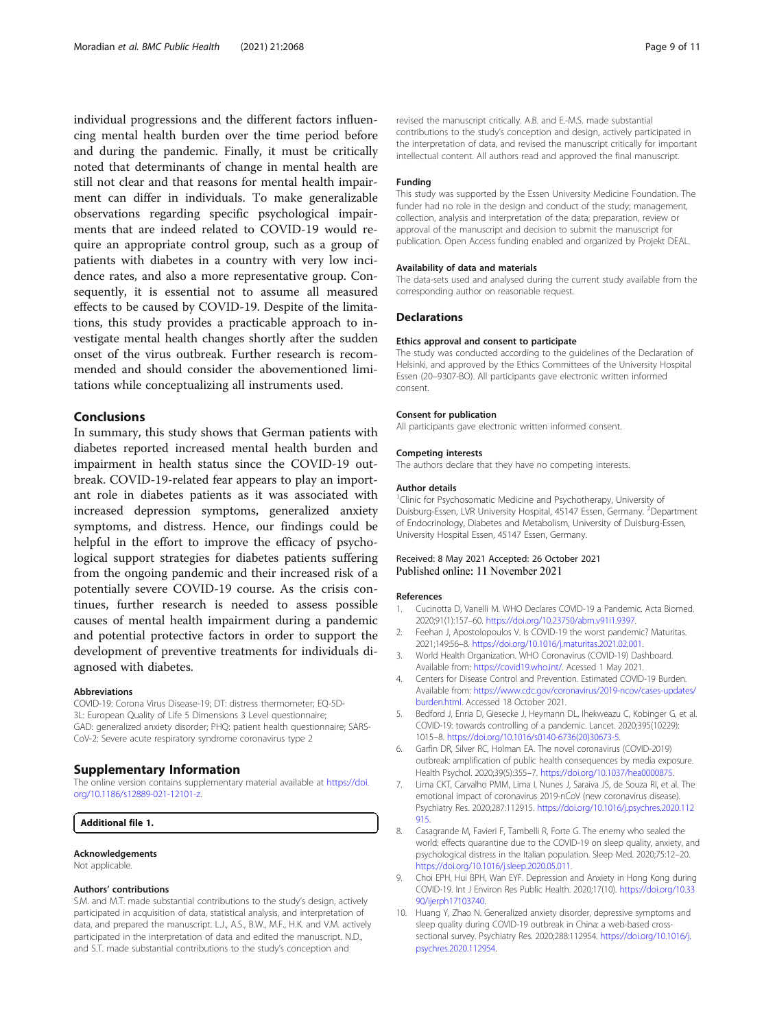<span id="page-8-0"></span>individual progressions and the different factors influencing mental health burden over the time period before and during the pandemic. Finally, it must be critically noted that determinants of change in mental health are still not clear and that reasons for mental health impairment can differ in individuals. To make generalizable observations regarding specific psychological impairments that are indeed related to COVID-19 would require an appropriate control group, such as a group of patients with diabetes in a country with very low incidence rates, and also a more representative group. Consequently, it is essential not to assume all measured effects to be caused by COVID-19. Despite of the limitations, this study provides a practicable approach to investigate mental health changes shortly after the sudden onset of the virus outbreak. Further research is recommended and should consider the abovementioned limitations while conceptualizing all instruments used.

# Conclusions

In summary, this study shows that German patients with diabetes reported increased mental health burden and impairment in health status since the COVID-19 outbreak. COVID-19-related fear appears to play an important role in diabetes patients as it was associated with increased depression symptoms, generalized anxiety symptoms, and distress. Hence, our findings could be helpful in the effort to improve the efficacy of psychological support strategies for diabetes patients suffering from the ongoing pandemic and their increased risk of a potentially severe COVID-19 course. As the crisis continues, further research is needed to assess possible causes of mental health impairment during a pandemic and potential protective factors in order to support the development of preventive treatments for individuals diagnosed with diabetes.

#### Abbreviations

COVID-19: Corona Virus Disease-19; DT: distress thermometer; EQ-5D-3L: European Quality of Life 5 Dimensions 3 Level questionnaire; GAD: generalized anxiety disorder; PHQ: patient health questionnaire; SARS-CoV-2: Severe acute respiratory syndrome coronavirus type 2

# Supplementary Information

The online version contains supplementary material available at [https://doi.](https://doi.org/10.1186/s12889-021-12101-z) [org/10.1186/s12889-021-12101-z.](https://doi.org/10.1186/s12889-021-12101-z)

# Additional file 1.

#### Acknowledgements

Not applicable.

#### Authors' contributions

S.M. and M.T. made substantial contributions to the study's design, actively participated in acquisition of data, statistical analysis, and interpretation of data, and prepared the manuscript. L.J., A.S., B.W., M.F., H.K. and V.M. actively participated in the interpretation of data and edited the manuscript. N.D., and S.T. made substantial contributions to the study's conception and

revised the manuscript critically. A.B. and E.-M.S. made substantial contributions to the study's conception and design, actively participated in the interpretation of data, and revised the manuscript critically for important intellectual content. All authors read and approved the final manuscript.

#### Funding

This study was supported by the Essen University Medicine Foundation. The funder had no role in the design and conduct of the study; management, collection, analysis and interpretation of the data; preparation, review or approval of the manuscript and decision to submit the manuscript for publication. Open Access funding enabled and organized by Projekt DEAL.

#### Availability of data and materials

The data-sets used and analysed during the current study available from the corresponding author on reasonable request.

### **Declarations**

#### Ethics approval and consent to participate

The study was conducted according to the guidelines of the Declaration of Helsinki, and approved by the Ethics Committees of the University Hospital Essen (20–9307-BO). All participants gave electronic written informed consent.

#### Consent for publication

All participants gave electronic written informed consent.

# Competing interests

The authors declare that they have no competing interests.

#### Author details

<sup>1</sup> Clinic for Psychosomatic Medicine and Psychotherapy, University of Duisburg-Essen, LVR University Hospital, 45147 Essen, Germany. <sup>2</sup>Department of Endocrinology, Diabetes and Metabolism, University of Duisburg-Essen, University Hospital Essen, 45147 Essen, Germany.

#### Received: 8 May 2021 Accepted: 26 October 2021 Published online: 11 November 2021

#### References

- 1. Cucinotta D, Vanelli M. WHO Declares COVID-19 a Pandemic. Acta Biomed. 2020;91(1):157–60. <https://doi.org/10.23750/abm.v91i1.9397>.
- 2. Feehan J, Apostolopoulos V. Is COVID-19 the worst pandemic? Maturitas. 2021;149:56–8. [https://doi.org/10.1016/j.maturitas.2021.02.001.](https://doi.org/10.1016/j.maturitas.2021.02.001)
- 3. World Health Organization. WHO Coronavirus (COVID-19) Dashboard. Available from: [https://covid19.who.int/.](https://covid19.who.int/) Acessed 1 May 2021.
- 4. Centers for Disease Control and Prevention. Estimated COVID-19 Burden. Available from: [https://www.cdc.gov/coronavirus/2019-ncov/cases-updates/](https://www.cdc.gov/coronavirus/2019-ncov/cases-updates/burden.html) [burden.html.](https://www.cdc.gov/coronavirus/2019-ncov/cases-updates/burden.html) Accessed 18 October 2021.
- 5. Bedford J, Enria D, Giesecke J, Heymann DL, Ihekweazu C, Kobinger G, et al. COVID-19: towards controlling of a pandemic. Lancet. 2020;395(10229): 1015–8. [https://doi.org/10.1016/s0140-6736\(20\)30673-5.](https://doi.org/10.1016/s0140-6736(20)30673-5)
- 6. Garfin DR, Silver RC, Holman EA. The novel coronavirus (COVID-2019) outbreak: amplification of public health consequences by media exposure. Health Psychol. 2020;39(5):355–7. <https://doi.org/10.1037/hea0000875>.
- 7. Lima CKT, Carvalho PMM, Lima I, Nunes J, Saraiva JS, de Souza RI, et al. The emotional impact of coronavirus 2019-nCoV (new coronavirus disease). Psychiatry Res. 2020;287:112915. [https://doi.org/10.1016/j.psychres.2020.112](https://doi.org/10.1016/j.psychres.2020.112915) [915.](https://doi.org/10.1016/j.psychres.2020.112915)
- 8. Casagrande M, Favieri F, Tambelli R, Forte G. The enemy who sealed the world: effects quarantine due to the COVID-19 on sleep quality, anxiety, and psychological distress in the Italian population. Sleep Med. 2020;75:12–20. [https://doi.org/10.1016/j.sleep.2020.05.011.](https://doi.org/10.1016/j.sleep.2020.05.011)
- 9. Choi EPH, Hui BPH, Wan EYF. Depression and Anxiety in Hong Kong during COVID-19. Int J Environ Res Public Health. 2020;17(10). [https://doi.org/10.33](https://doi.org/10.3390/ijerph17103740) [90/ijerph17103740](https://doi.org/10.3390/ijerph17103740).
- 10. Huang Y, Zhao N. Generalized anxiety disorder, depressive symptoms and sleep quality during COVID-19 outbreak in China: a web-based crosssectional survey. Psychiatry Res. 2020;288:112954. [https://doi.org/10.1016/j.](https://doi.org/10.1016/j.psychres.2020.112954) [psychres.2020.112954.](https://doi.org/10.1016/j.psychres.2020.112954)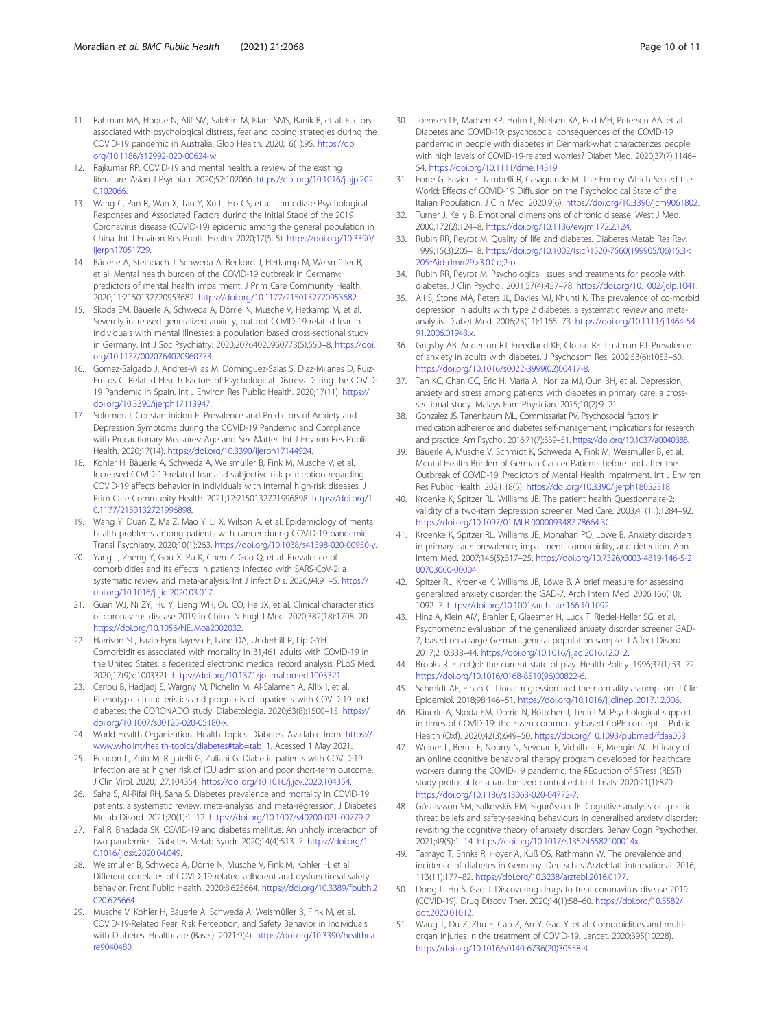- <span id="page-9-0"></span>11. Rahman MA, Hoque N, Alif SM, Salehin M, Islam SMS, Banik B, et al. Factors associated with psychological distress, fear and coping strategies during the COVID-19 pandemic in Australia. Glob Health. 2020;16(1):95. [https://doi.](https://doi.org/10.1186/s12992-020-00624-w) [org/10.1186/s12992-020-00624-w](https://doi.org/10.1186/s12992-020-00624-w).
- 12. Rajkumar RP. COVID-19 and mental health: a review of the existing literature. Asian J Psychiatr. 2020;52:102066. [https://doi.org/10.1016/j.ajp.202](https://doi.org/10.1016/j.ajp.2020.102066) [0.102066.](https://doi.org/10.1016/j.ajp.2020.102066)
- 13. Wang C, Pan R, Wan X, Tan Y, Xu L, Ho CS, et al. Immediate Psychological Responses and Associated Factors during the Initial Stage of the 2019 Coronavirus disease (COVID-19) epidemic among the general population in China. Int J Environ Res Public Health. 2020;17(5, 5). [https://doi.org/10.3390/](https://doi.org/10.3390/ijerph17051729) [ijerph17051729](https://doi.org/10.3390/ijerph17051729).
- 14. Bäuerle A, Steinbach J, Schweda A, Beckord J, Hetkamp M, Weismüller B, et al. Mental health burden of the COVID-19 outbreak in Germany: predictors of mental health impairment. J Prim Care Community Health. 2020;11:2150132720953682. <https://doi.org/10.1177/2150132720953682>.
- 15. Skoda EM, Bäuerle A, Schweda A, Dörrie N, Musche V, Hetkamp M, et al. Severely increased generalized anxiety, but not COVID-19-related fear in individuals with mental illnesses: a population based cross-sectional study in Germany. Int J Soc Psychiatry. 2020;20764020960773(5):550–8. [https://doi.](https://doi.org/10.1177/0020764020960773) [org/10.1177/0020764020960773.](https://doi.org/10.1177/0020764020960773)
- 16. Gomez-Salgado J, Andres-Villas M, Dominguez-Salas S, Diaz-Milanes D, Ruiz-Frutos C. Related Health Factors of Psychological Distress During the COVID-19 Pandemic in Spain. Int J Environ Res Public Health. 2020;17(11). [https://](https://doi.org/10.3390/ijerph17113947) [doi.org/10.3390/ijerph17113947.](https://doi.org/10.3390/ijerph17113947)
- 17. Solomou I, Constantinidou F. Prevalence and Predictors of Anxiety and Depression Symptoms during the COVID-19 Pandemic and Compliance with Precautionary Measures: Age and Sex Matter. Int J Environ Res Public Health. 2020;17(14). [https://doi.org/10.3390/ijerph17144924.](https://doi.org/10.3390/ijerph17144924)
- 18. Kohler H, Bäuerle A, Schweda A, Weismüller B, Fink M, Musche V, et al. Increased COVID-19-related fear and subjective risk perception regarding COVID-19 affects behavior in individuals with internal high-risk diseases. J Prim Care Community Health. 2021;12:2150132721996898. [https://doi.org/1](https://doi.org/10.1177/2150132721996898) [0.1177/2150132721996898](https://doi.org/10.1177/2150132721996898).
- 19. Wang Y, Duan Z, Ma Z, Mao Y, Li X, Wilson A, et al. Epidemiology of mental health problems among patients with cancer during COVID-19 pandemic. Transl Psychiatry. 2020;10(1):263. [https://doi.org/10.1038/s41398-020-00950-y.](https://doi.org/10.1038/s41398-020-00950-y)
- 20. Yang J, Zheng Y, Gou X, Pu K, Chen Z, Guo Q, et al. Prevalence of comorbidities and its effects in patients infected with SARS-CoV-2: a systematic review and meta-analysis. Int J Infect Dis. 2020;94:91–5. [https://](https://doi.org/10.1016/j.ijid.2020.03.017) [doi.org/10.1016/j.ijid.2020.03.017.](https://doi.org/10.1016/j.ijid.2020.03.017)
- 21. Guan WJ, Ni ZY, Hu Y, Liang WH, Ou CQ, He JX, et al. Clinical characteristics of coronavirus disease 2019 in China. N Engl J Med. 2020;382(18):1708–20. <https://doi.org/10.1056/NEJMoa2002032>.
- 22. Harrison SL, Fazio-Eynullayeva E, Lane DA, Underhill P, Lip GYH. Comorbidities associated with mortality in 31,461 adults with COVID-19 in the United States: a federated electronic medical record analysis. PLoS Med. 2020;17(9):e1003321. <https://doi.org/10.1371/journal.pmed.1003321>.
- 23. Cariou B, Hadjadj S, Wargny M, Pichelin M, Al-Salameh A, Allix I, et al. Phenotypic characteristics and prognosis of inpatients with COVID-19 and diabetes: the CORONADO study. Diabetologia. 2020;63(8):1500–15. [https://](https://doi.org/10.1007/s00125-020-05180-x) [doi.org/10.1007/s00125-020-05180-x.](https://doi.org/10.1007/s00125-020-05180-x)
- 24. World Health Organization. Health Topics: Diabetes. Available from: [https://](https://www.who.int/health-topics/diabetes#tab=tab_1) [www.who.int/health-topics/diabetes#tab=tab\\_1](https://www.who.int/health-topics/diabetes#tab=tab_1). Acessed 1 May 2021.
- 25. Roncon L, Zuin M, Rigatelli G, Zuliani G. Diabetic patients with COVID-19 infection are at higher risk of ICU admission and poor short-term outcome. J Clin Virol. 2020;127:104354. <https://doi.org/10.1016/j.jcv.2020.104354>.
- 26. Saha S, Al-Rifai RH, Saha S. Diabetes prevalence and mortality in COVID-19 patients: a systematic review, meta-analysis, and meta-regression. J Diabetes Metab Disord. 2021;20(1):1–12. [https://doi.org/10.1007/s40200-021-00779-2.](https://doi.org/10.1007/s40200-021-00779-2)
- 27. Pal R, Bhadada SK. COVID-19 and diabetes mellitus: An unholy interaction of two pandemics. Diabetes Metab Syndr. 2020;14(4):513–7. [https://doi.org/1](https://doi.org/10.1016/j.dsx.2020.04.049) [0.1016/j.dsx.2020.04.049.](https://doi.org/10.1016/j.dsx.2020.04.049)
- 28. Weismüller B, Schweda A, Dörrie N, Musche V, Fink M, Kohler H, et al. Different correlates of COVID-19-related adherent and dysfunctional safety behavior. Front Public Health. 2020;8:625664. [https://doi.org/10.3389/fpubh.2](https://doi.org/10.3389/fpubh.2020.625664) [020.625664.](https://doi.org/10.3389/fpubh.2020.625664)
- 29. Musche V, Kohler H, Bäuerle A, Schweda A, Weismüller B, Fink M, et al. COVID-19-Related Fear, Risk Perception, and Safety Behavior in Individuals with Diabetes. Healthcare (Basel). 2021;9(4). [https://doi.org/10.3390/healthca](https://doi.org/10.3390/healthcare9040480) [re9040480](https://doi.org/10.3390/healthcare9040480).
- 30. Joensen LE, Madsen KP, Holm L, Nielsen KA, Rod MH, Petersen AA, et al. Diabetes and COVID-19: psychosocial consequences of the COVID-19 pandemic in people with diabetes in Denmark-what characterizes people with high levels of COVID-19-related worries? Diabet Med. 2020;37(7):1146– 54. <https://doi.org/10.1111/dme.14319>.
- 31. Forte G, Favieri F, Tambelli R, Casagrande M. The Enemy Which Sealed the World: Effects of COVID-19 Diffusion on the Psychological State of the Italian Population. J Clin Med. 2020;9(6). <https://doi.org/10.3390/jcm9061802>.
- 32. Turner J, Kelly B. Emotional dimensions of chronic disease. West J Med. 2000;172(2):124–8. <https://doi.org/10.1136/ewjm.172.2.124>.
- 33. Rubin RR, Peyrot M. Quality of life and diabetes. Diabetes Metab Res Rev. 1999;15(3):205–18. [https://doi.org/10.1002/\(sici\)1520-7560\(199905/06\)15:3<](https://doi.org/10.1002/(sici)1520-7560(199905/06)15:3<205::Aid-dmrr29>3.0.Co;2-o) [205::Aid-dmrr29>3.0.Co;2-o](https://doi.org/10.1002/(sici)1520-7560(199905/06)15:3<205::Aid-dmrr29>3.0.Co;2-o).
- 34. Rubin RR, Peyrot M. Psychological issues and treatments for people with diabetes. J Clin Psychol. 2001;57(4):457–78. <https://doi.org/10.1002/jclp.1041>.
- 35. Ali S, Stone MA, Peters JL, Davies MJ, Khunti K. The prevalence of co-morbid depression in adults with type 2 diabetes: a systematic review and metaanalysis. Diabet Med. 2006;23(11):1165–73. [https://doi.org/10.1111/j.1464-54](https://doi.org/10.1111/j.1464-5491.2006.01943.x) [91.2006.01943.x.](https://doi.org/10.1111/j.1464-5491.2006.01943.x)
- 36. Grigsby AB, Anderson RJ, Freedland KE, Clouse RE, Lustman PJ. Prevalence of anxiety in adults with diabetes. J Psychosom Res. 2002;53(6):1053–60. [https://doi.org/10.1016/s0022-3999\(02\)00417-8](https://doi.org/10.1016/s0022-3999(02)00417-8).
- 37. Tan KC, Chan GC, Eric H, Maria AI, Norliza MJ, Oun BH, et al. Depression, anxiety and stress among patients with diabetes in primary care: a crosssectional study. Malays Fam Physician. 2015;10(2):9–21.
- 38. Gonzalez JS, Tanenbaum ML, Commissariat PV. Psychosocial factors in medication adherence and diabetes self-management: implications for research and practice. Am Psychol. 2016;71(7):539–51. [https://doi.org/10.1037/a0040388.](https://doi.org/10.1037/a0040388)
- Bäuerle A, Musche V, Schmidt K, Schweda A, Fink M, Weismüller B, et al. Mental Health Burden of German Cancer Patients before and after the Outbreak of COVID-19: Predictors of Mental Health Impairment. Int J Environ Res Public Health. 2021;18(5). <https://doi.org/10.3390/ijerph18052318>.
- 40. Kroenke K, Spitzer RL, Williams JB. The patient health Questionnaire-2: validity of a two-item depression screener. Med Care. 2003;41(11):1284–92. <https://doi.org/10.1097/01.MLR.0000093487.78664.3C>.
- 41. Kroenke K, Spitzer RL, Williams JB, Monahan PO, Löwe B. Anxiety disorders in primary care: prevalence, impairment, comorbidity, and detection. Ann Intern Med. 2007;146(5):317–25. [https://doi.org/10.7326/0003-4819-146-5-2](https://doi.org/10.7326/0003-4819-146-5-200703060-00004) [00703060-00004](https://doi.org/10.7326/0003-4819-146-5-200703060-00004).
- 42. Spitzer RL, Kroenke K, Williams JB, Löwe B. A brief measure for assessing generalized anxiety disorder: the GAD-7. Arch Intern Med. 2006;166(10): 1092–7. <https://doi.org/10.1001/archinte.166.10.1092>.
- 43. Hinz A, Klein AM, Brahler E, Glaesmer H, Luck T, Riedel-Heller SG, et al. Psychometric evaluation of the generalized anxiety disorder screener GAD-7, based on a large German general population sample. J Affect Disord. 2017;210:338–44. [https://doi.org/10.1016/j.jad.2016.12.012.](https://doi.org/10.1016/j.jad.2016.12.012)
- Brooks R. EuroQol: the current state of play. Health Policy. 1996;37(1):53-72. [https://doi.org/10.1016/0168-8510\(96\)00822-6](https://doi.org/10.1016/0168-8510(96)00822-6).
- 45. Schmidt AF, Finan C. Linear regression and the normality assumption. J Clin Epidemiol. 2018;98:146–51. [https://doi.org/10.1016/j.jclinepi.2017.12.006.](https://doi.org/10.1016/j.jclinepi.2017.12.006)
- 46. Bäuerle A, Skoda EM, Dorrie N, Böttcher J, Teufel M. Psychological support in times of COVID-19: the Essen community-based CoPE concept. J Public Health (Oxf). 2020;42(3):649–50. <https://doi.org/10.1093/pubmed/fdaa053>.
- 47. Weiner L, Berna F, Nourry N, Severac F, Vidailhet P, Mengin AC. Efficacy of an online cognitive behavioral therapy program developed for healthcare workers during the COVID-19 pandemic: the REduction of STress (REST) study protocol for a randomized controlled trial. Trials. 2020;21(1):870. [https://doi.org/10.1186/s13063-020-04772-7.](https://doi.org/10.1186/s13063-020-04772-7)
- 48. Gústavsson SM, Salkovskis PM, Sigurðsson JF. Cognitive analysis of specific threat beliefs and safety-seeking behaviours in generalised anxiety disorder: revisiting the cognitive theory of anxiety disorders. Behav Cogn Psychother. 2021;49(5):1–14. [https://doi.org/10.1017/s135246582100014x.](https://doi.org/10.1017/s135246582100014x)
- 49. Tamayo T, Brinks R, Hoyer A, Kuß OS, Rathmann W. The prevalence and incidence of diabetes in Germany. Deutsches Arzteblatt international. 2016; 113(11):177–82. <https://doi.org/10.3238/arztebl.2016.0177>.
- 50. Dong L, Hu S, Gao J. Discovering drugs to treat coronavirus disease 2019 (COVID-19). Drug Discov Ther. 2020;14(1):58–60. [https://doi.org/10.5582/](https://doi.org/10.5582/ddt.2020.01012) [ddt.2020.01012.](https://doi.org/10.5582/ddt.2020.01012)
- 51. Wang T, Du Z, Zhu F, Cao Z, An Y, Gao Y, et al. Comorbidities and multiorgan injuries in the treatment of COVID-19. Lancet. 2020;395(10228). [https://doi.org/10.1016/s0140-6736\(20\)30558-4](https://doi.org/10.1016/s0140-6736(20)30558-4).